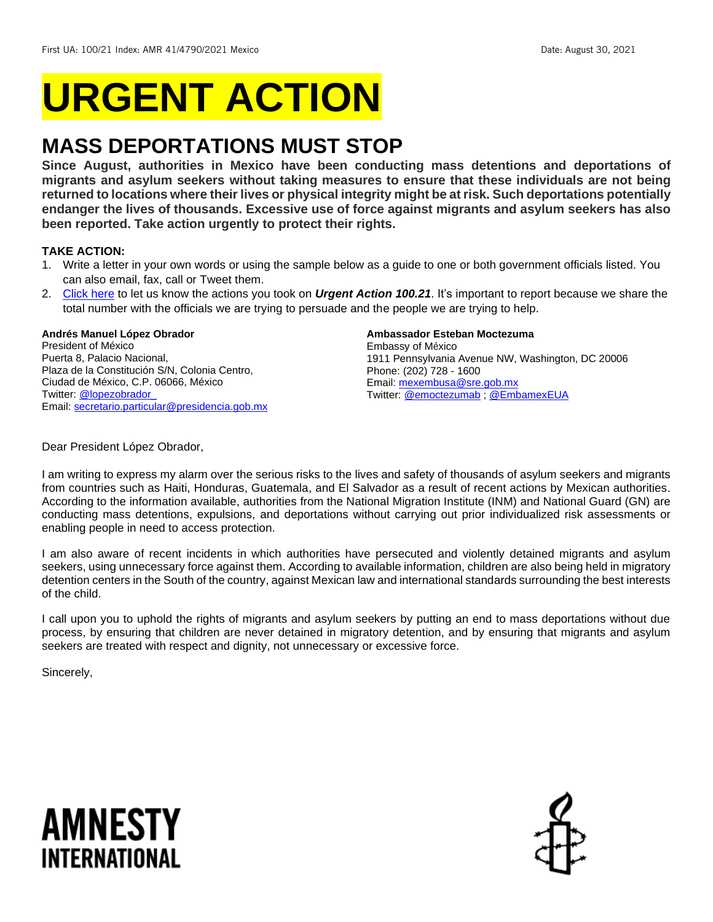# **URGENT ACTION**

## **MASS DEPORTATIONS MUST STOP**

**Since August, authorities in Mexico have been conducting mass detentions and deportations of migrants and asylum seekers without taking measures to ensure that these individuals are not being returned to locations where their lives or physical integrity might be at risk. Such deportations potentially endanger the lives of thousands. Excessive use of force against migrants and asylum seekers has also been reported. Take action urgently to protect their rights.** 

#### **TAKE ACTION:**

- 1. Write a letter in your own words or using the sample below as a guide to one or both government officials listed. You can also email, fax, call or Tweet them.
- 2. [Click here](https://www.amnestyusa.org/report-urgent-actions/) to let us know the actions you took on *Urgent Action 100.21*. It's important to report because we share the total number with the officials we are trying to persuade and the people we are trying to help.

#### **Andrés Manuel López Obrador**

President of México Puerta 8, Palacio Nacional, Plaza de la Constitución S/N, Colonia Centro, Ciudad de México, C.P. 06066, México Twitter: @lopezobrador Email[: secretario.particular@presidencia.gob.mx](mailto:secretario.particular@presidencia.gob.mx)

#### **Ambassador Esteban Moctezuma**

Embassy of México 1911 Pennsylvania Avenue NW, Washington, DC 20006 Phone: (202) 728 - 1600 Email[: mexembusa@sre.gob.mx](mailto:mexembusa@sre.gob.mx) Twitter: [@emoctezumab](https://twitter.com/emoctezumab) ; [@EmbamexEUA](https://twitter.com/EmbamexEUA)

Dear President López Obrador,

I am writing to express my alarm over the serious risks to the lives and safety of thousands of asylum seekers and migrants from countries such as Haiti, Honduras, Guatemala, and El Salvador as a result of recent actions by Mexican authorities. According to the information available, authorities from the National Migration Institute (INM) and National Guard (GN) are conducting mass detentions, expulsions, and deportations without carrying out prior individualized risk assessments or enabling people in need to access protection.

I am also aware of recent incidents in which authorities have persecuted and violently detained migrants and asylum seekers, using unnecessary force against them. According to available information, children are also being held in migratory detention centers in the South of the country, against Mexican law and international standards surrounding the best interests of the child.

I call upon you to uphold the rights of migrants and asylum seekers by putting an end to mass deportations without due process, by ensuring that children are never detained in migratory detention, and by ensuring that migrants and asylum seekers are treated with respect and dignity, not unnecessary or excessive force.

Sincerely,